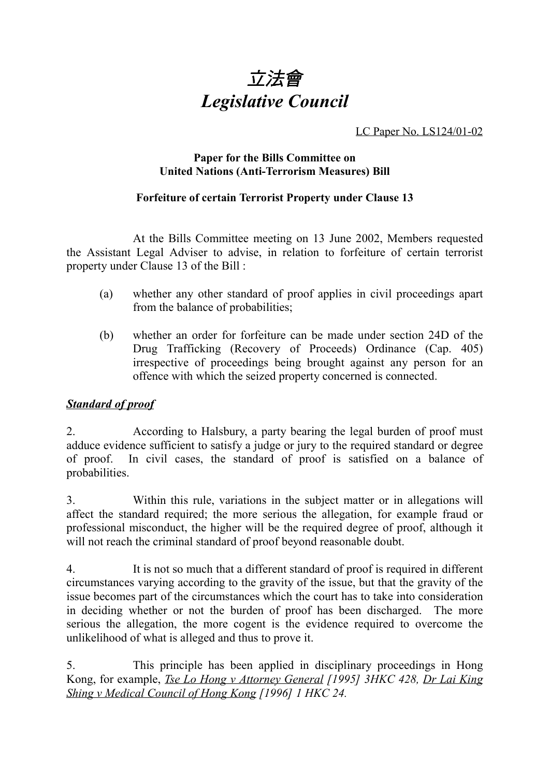

LC Paper No. LS124/01-02

## **Paper for the Bills Committee on United Nations (Anti-Terrorism Measures) Bill**

## **Forfeiture of certain Terrorist Property under Clause 13**

At the Bills Committee meeting on 13 June 2002, Members requested the Assistant Legal Adviser to advise, in relation to forfeiture of certain terrorist property under Clause 13 of the Bill :

- (a) whether any other standard of proof applies in civil proceedings apart from the balance of probabilities;
- (b) whether an order for forfeiture can be made under section 24D of the Drug Trafficking (Recovery of Proceeds) Ordinance (Cap. 405) irrespective of proceedings being brought against any person for an offence with which the seized property concerned is connected.

## *Standard of proof*

2. According to Halsbury, a party bearing the legal burden of proof must adduce evidence sufficient to satisfy a judge or jury to the required standard or degree of proof. In civil cases, the standard of proof is satisfied on a balance of probabilities.

3. Within this rule, variations in the subject matter or in allegations will affect the standard required; the more serious the allegation, for example fraud or professional misconduct, the higher will be the required degree of proof, although it will not reach the criminal standard of proof beyond reasonable doubt.

4. It is not so much that a different standard of proof is required in different circumstances varying according to the gravity of the issue, but that the gravity of the issue becomes part of the circumstances which the court has to take into consideration in deciding whether or not the burden of proof has been discharged. The more serious the allegation, the more cogent is the evidence required to overcome the unlikelihood of what is alleged and thus to prove it.

5. This principle has been applied in disciplinary proceedings in Hong Kong, for example, *Tse Lo Hong v Attorney General [1995] 3HKC 428, Dr Lai King Shing v Medical Council of Hong Kong [1996] 1 HKC 24.*